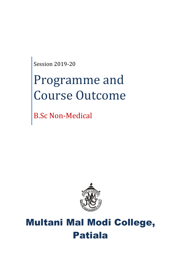Session 2019-20

# Programme and Course Outcome

B.Sc Non-Medical



## Multani Mal Modi College, Patiala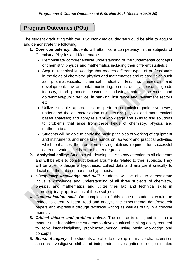## **Program Outcomes (POs)**

The student graduating with the B.Sc Non-Medical degree would be able to acquire and demonstrate the following:

- **1. Core competency:** Students will attain core competency in the subjects of Chemistry, Physics and Mathematics.
	- Demonstrate comprehensible understanding of the fundamental concepts of chemistry, physics and mathematics including their different subfields.
	- Acquire technical knowledge that creates different types of professionals in the fields of chemistry, physics and mathematics and related fields such as pharmaceuticals, chemical industry, teaching, research and development, environmental monitoring, product quality, consumer goods industry, food products, cosmetics industry, material sciences and government/public service, in banking, insurance and investment sectors etc.
	- Utilize suitable approaches to perform organic/inorganic syntheses, understand the characterization of materials; physics and mathematical based analyses; and apply relevant knowledge and skills to find solutions to problems that arise from these fields of chemistry, physics and mathematics.
	- Students will be able to apply the basic principles of working of equipment and instruments and undertake hands on lab work and practical activities which enhances their problem solving abilities required for successful career in various fields or for higher degrees.
- **2. Analytical ability:** Students will develop skills to pay attention to all elements and will be able to construct logical arguments related to their subjects. They will be able to design a hypothesis, collect data and analyze it critically to decipher if the data supports the hypothesis.
- **3.** *Disciplinary knowledge and skill*: Students will be able to demonstrate inclusive knowledge and understanding of all three subjects of chemistry, physics, and mathematics and utilize their lab and technical skills in interdisciplinary applications of these subjects.
- **4.** C*ommunication skill*: On completion of this course, students would be trained to carefully listen, read and analyze the experimental data/research papers and express it through technical writing as well as orally in a concise manner.
- **5.** *Critical thinker and problem solver*: The course is designed in such a manner that it enables the students to develop critical thinking ability required to solve inter-disciplinary problems/numerical using basic knowledge and concepts.
- **6.** *Sense of inquiry*: The students are able to develop inquisitive characteristics such as investigative skills and independent investigation of subject-related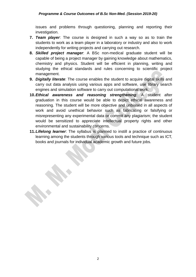issues and problems through questioning, planning and reporting their investigation.

- **7.** *Team player*: The course is designed in such a way so as to train the students to work as a team player in a laboratory or industry and also to work independently for writing projects and carrying out research.
- **8.** *Skilled project manager*: A BSc non-medical graduate student will be capable of being a project manager by gaining knowledge about mathematics, chemistry and physics. Student will be efficient in planning, writing and studying the ethical standards and rules concerning to scientific project management.
- **9.** *Digitally literate*: The course enables the student to acquire digital skills and carry out data analysis using various apps and software, use library search engines and simulation software to carry out computational work.
- **10.***Ethical awareness and reasoning strengthening*: A student after graduation in this course would be able to depict ethical awareness and reasoning. The student will be more objective and unbiased in all aspects of work and avoid unethical behavior such as fabricating or falsifying or misrepresenting any experimental data or commit any plagiarism; the student would be sensitized to appreciate intellectual property rights and other environmental and sustainability concerns.
- **11.***Lifelong learner*: The syllabus is planned to instill a practice of continuous learning among the students through various tools and technique such as ICT, books and journals for individual academic growth and future jobs.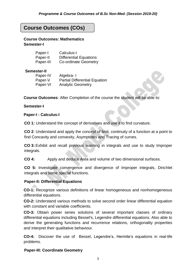## **Course Outcomes (COs)**

**Course Outcomes: Mathematics Semester-I**

| Paper-I   | Calculus-I                    |
|-----------|-------------------------------|
| Paper-II  | <b>Differential Equations</b> |
| Paper-III | Co-ordinate Geometry          |

#### **Semester-II**

| Paper-IV | Algebra-I                            |
|----------|--------------------------------------|
| Paper-V  | <b>Partial Differential Equation</b> |
| Paper-VI | <b>Analytic Geometry</b>             |

**Course Outcomes**: After Completion of the course the student will be able to:

#### **Semester-I**

#### **Paper-I : Calculus-I**

**CO 1:** Understand the concept of derivatives and use it to find curvature.

**CO 2**: Understand and apply the concept of limit, continuity of a function at a point to find Concavity and convexity, Asymptotes and Tracing of curves.

**CO 3:** Exhibit and recall previous learning in integrals and use to study Improper integrals.

**CO 4:** Apply and deduce Area and volume of two dimensional surfaces.

**CO 5:** Investigate convergence and divergence of Improper integrals, Dirichlet integrals and some special functions.

#### **Paper-II: Differential Equations**

**CO-1:** Recognize various definitions of linear homogeneous and nonhomogeneous differential equations.

**CO-2:** Understand various methods to solve second order linear differential equation with constant and variable coefficients.

**CO-3:** Obtain power series solutions of several important classes of ordinary differential equations including Bessel's, Legendre differential equations. Also able to derive the generating functions and recurrence relations, orthogonality properties and interpret their qualitative behaviour.

**CO-4:** Discover the use of Bessel, Legendre's, Hermite's equations in real-life problems.

#### **Paper-III: Coordinate Geometry**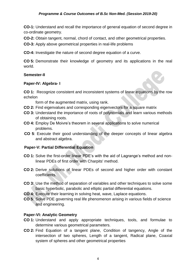**CO-1:** Understand and recall the importance of general equation of second degree in co-ordinate geometry.

**CO-2:** Obtain tangent, normal, chord of contact, and other geometrical properties.

**CO-3:** Apply above geometrical properties in real-life problems

**CO-4:** Investigate the nature of second degree equation of a curve.

**CO 5:** Demonstrate their knowledge of geometry and its applications in the real world.

#### **Semester-II**

#### **Paper-IV: Algebra- I**

**CO 1:** Recognize consistent and inconsistent systems of linear equations by the row echelon

form of the augmented matrix, using rank.

- **CO 2:** Find eigenvalues and corresponding eigenvectors for a square matrix
- **CO 3:** Understand the importance of roots of polynomials and learn various methods of obtaining roots.
- **CO 4:** Employ De Moivre's theorem in several applications to solve numerical problems.
- **CO 5**: Execute their good understanding of the deeper concepts of linear algebra and abstract algebra.

#### **Paper-V: Partial Differential Equation**

- **CO 1:** Solve the first-order linear PDE's with the aid of Lagrange's method and nonlinear PDEs of first order with Charpits' method.
- **CO 2:** Derive solutions of linear PDEs of second and higher order with constant coefficients.
- **CO 3:** Use the method of separation of variables and other techniques to solve some basic hyperbolic, parabolic and elliptic partial differential equations.
- **CO 4:** Execute their learning in solving heat, wave, Laplace equations.
- **CO 5**: Solve PDE governing real life phenomenon arising in various fields of science and engineering.

#### **Paper-VI: Analytic Geometry**

- **CO 1:** Understand and apply appropriate techniques, tools, and formulae to determine various geometrical parameters.
- **CO 2:** Find Equation of a tangent plane, Condition of tangency, Angle of the intersection of two spheres, Length of a tangent, Radical plane, Coaxial system of spheres and other geometrical properties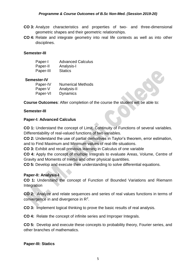- **CO 3:** Analyze characteristics and properties of two- and three-dimensional geometric shapes and their geometric relationships.
- **CO 4:** Relate and integrate geometry into real life contexts as well as into other disciplines.

#### **Semester-III**

| Paper-I   | <b>Advanced Calculus</b> |
|-----------|--------------------------|
| Paper-II  | Analysis-I               |
| Paper-III | <b>Statics</b>           |

#### **Semester-IV**

| Paper-IV | <b>Numerical Methods</b> |
|----------|--------------------------|
| Paper-V  | Analysis-II              |
| Paper-VI | <b>Dynamics</b>          |

**Course Outcomes**: After completion of the course the student will be able to:

#### **Semester-III**

#### **Paper-I: Advanced Calculus**

**CO 1:** Understand the concept of Limit, Continuity of Functions of several variables. Differentiability of real-valued functions of two variables.

**CO 2:** Understand the use of partial derivatives in Taylor's theorem, error estimation, and to Find Maximum and Minimum values of real-life situations.

**CO 3:** Exhibit and recall previous learning in Calculus of one variable

**CO 4:** Apply the concept of multiple Integrals to evaluate Areas, Volume, Centre of Gravity and Moments of Inertia and other physical quantities.

**CO 5:** Develop and execute their understanding to solve differential equations.

#### **Paper-II: Analysis-I**

**CO 1:** Understand the concept of Function of Bounded Variations and Riemann **Integration** 

**CO 2:** Analyze and relate sequences and series of real values functions in terms of convergence in and divergence in R<sup>2</sup>.

**CO 3:** Implement logical thinking to prove the basic results of real analysis.

**CO 4:** Relate the concept of infinite series and Improper Integrals.

**CO 5:** Develop and execute these concepts to probability theory, Fourier series, and other branches of mathematics.

#### **Paper-III: Statics**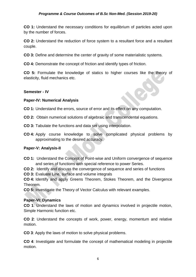#### *Programme & Course Outcomes of B.Sc Non-Med. (Session 2019-20)*

**CO 1:** Understand the necessary conditions for equilibrium of particles acted upon by the number of forces.

**CO 2:** Understand the reduction of force system to a resultant force and a resultant couple.

**CO 3:** Define and determine the center of gravity of some materialistic systems.

**CO 4:** Demonstrate the concept of friction and identify types of friction.

**CO 5:** Formulate the knowledge of statics to higher courses like the theory of elasticity, fluid mechanics etc.

#### **Semester - IV**

#### **Paper-IV: Numerical Analysis**

**CO 1:** Understand the errors, source of error and its effect on any computation.

- **CO 2:** Obtain numerical solutions of algebraic and transcendental equations.
- **CO 3:** Tabulate the functions and data set using interpolation.
- **CO 4:** Apply course knowledge to solve complicated physical problems by approximating to the desired accuracy.

#### **Paper-V: Analysis-II**

**CO 1:** Understand the Concept of Point-wise and Uniform convergence of sequence and series of functions with special reference to power Series.

**CO 2:** Identify and discuss the convergence of sequence and series of functions

**CO 3:** Evaluate Line, surface and volume integrals

**CO 4:** Identify and apply Greens Theorem, Stokes Theorem, and the Divergence Theorem.

**CO 5:** Investigate the Theory of Vector Calculus with relevant examples.

#### **Paper-VI: Dynamics**

**CO 1**: Understand the laws of motion and dynamics involved in projectile motion, Simple Harmonic function etc.

**CO 2**: Understand the concepts of work, power, energy, momentum and relative motion.

**CO 3**: Apply the laws of motion to solve physical problems.

**CO 4**: Investigate and formulate the concept of mathematical modeling in projectile motion.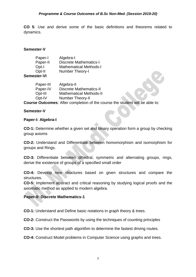**CO 5**: Use and derive some of the basic definitions and theorems related to dynamics.

#### **Semester-V**

| Paper-I     | Algebra-I                     |
|-------------|-------------------------------|
| Paper-II    | <b>Discrete Mathematics-I</b> |
| Opt-I       | <b>Mathematical Methods-I</b> |
| Opt-II      | Number Theory-I               |
| Semester-VI |                               |

#### Paper-III Algebra-II Paper-IV Discrete Mathematics-II Opt-III Mathematical Methods-II Opt-IV Number Theory-II

**Course Outcomes**: After completion of the course the student will be able to:

#### **Semester-V**

#### **Paper-I: Algebra-I**

**CO-1:** Determine whether a given set and binary operation form a group by checking group axioms

**CO-2:** Understand and Differentiate between homomorphism and isomorphism for groups and Rings.

**CO-3:** Differentiate between dihedral, symmetric and alternating groups, rings, derive the existence of groups of a specified small order

**CO-4:** Develop new structures based on given structures and compare the structures.

**CO-5:** Implement abstract and critical reasoning by studying logical proofs and the axiomatic method as applied to modern algebra.

#### **Paper-II: Discrete Mathematics-1**

**CO-1:** Understand and Define basic notations in graph theory & trees.

**CO-2:** Construct the Passwords by using the techniques of counting principles

**CO-3:** Use the shortest path algorithm to determine the fastest driving routes.

**CO-4:** Construct Model problems in Computer Science using graphs and trees.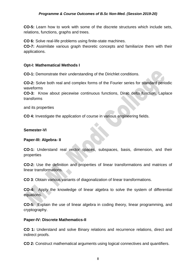**CO-5:** Learn how to work with some of the discrete structures which include sets, relations, functions, graphs and trees.

**CO 6:** Solve real-life problems using finite-state machines.

**CO-7:** Assimilate various graph theoretic concepts and familiarize them with their applications.

#### **Opt-I: Mathematical Methods I**

**CO-1:** Demonstrate their understanding of the Dirichlet conditions.

**CO-2:** Solve both real and complex forms of the Fourier series for standard periodic waveforms

**CO-3:** Know about piecewise continuous functions, Dirac delta function, Laplace transforms

and its properties

**CO 4:** Investigate the application of course in various engineering fields.

#### **Semester-VI**

#### **Paper-III: Algebra- II**

**CO-1:** Understand real vector spaces, subspaces, basis, dimension, and their properties

**CO-2:** Use the definition and properties of linear transformations and matrices of linear transformations.

**CO 3**: Obtain various variants of diagonalization of linear transformations.

**CO-4:** Apply the knowledge of linear algebra to solve the system of differential equations.

**CO-5:** Explain the use of linear algebra in coding theory, linear programming, and cryptography.

#### **Paper-IV: Discrete Mathematics-II**

**CO 1:** Understand and solve Binary relations and recurrence relations, direct and indirect proofs.

**CO 2:** Construct mathematical arguments using logical connectives and quantifiers.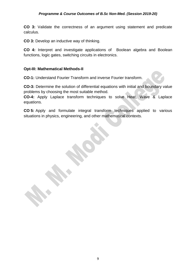**CO 3:** Validate the correctness of an argument using statement and predicate calculus.

**CO 3:** Develop an inductive way of thinking.

**CO 4:** Interpret and investigate applications of Boolean algebra and Boolean functions, logic gates, switching circuits in electronics.

#### **Opt-III: Mathematical Methods-II**

**CO-1:** Understand Fourier Transform and inverse Fourier transform.

**CO-3:** Determine the solution of differential equations with initial and boundary value problems by choosing the most suitable method.

**CO-4:** Apply Laplace transform techniques to solve Heat, Wave & Laplace equations.

**CO 5:** Apply and formulate integral transform techniques applied to various situations in physics, engineering, and other mathematical contexts.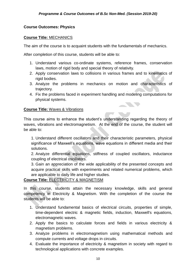#### **Course Outcomes: Physics**

#### **Course Title:** MECHANICS

The aim of the course is to acquaint students with the fundamentals of mechanics.

After completion of this course, students will be able to:

- 1. Understand various co-ordinate systems, reference frames, conservation laws, motion of rigid body and special theory of relativity.
- 2. Apply conservation laws to collisions in various frames and to kinematics of rigid bodies.
- 3. Analyze the problems in mechanics on motion and characteristics of trajectory.
- 4. Fix the problems faced in experiment handling and modeling computations for physical systems.

<u> De Santo Contra de Santo Contra </u>

#### **Course Title:** Waves & Vibrations

This course aims to enhance the student's understanding regarding the theory of waves, vibrations and electromagnetism. At the end of the course, the student will be able to:

1. Understand different oscillators and their characteristic parameters, physical significance of Maxwell's equations, wave equations in different media and their solutions.

2. Analyze differential equations, stiffness of coupled oscillators, inductance coupling of electrical oscillators.

3. Gain an appreciation of the wide applicability of the presented concepts and acquire practical skills with experiments and related numerical problems, which are applicable to daily life and higher studies.

#### **Course Title:** ELECTRICITY & MAGNETISM

In this course, students attain the necessary knowledge, skills and general competency in Electricity & Magnetism. With the completion of the course the students will be able to:

- 1. Understand fundamental basics of electrical circuits, properties of simple, time-dependent electric & magnetic fields, induction, Maxwell's equations, electromagnetic waves.
- 2. Apply the basics to calculate forces and fields in various electricity & magnetism problems.
- 3. Analyze problems in electromagnetism using mathematical methods and compute currents and voltage drops in circuits.
- 4. Evaluate the importance of electricity & magnetism in society with regard to technological applications with concrete examples.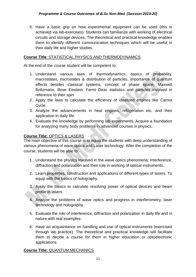5. Have a basic grip on how experimental equipment can be used (this is achieved via lab-exercises). Students can familiarize with working of electrical circuits and storage devices. The theoretical and practical knowledge enables them to identify different communication techniques which will be useful in their daily life and higher studies.

#### **Course Title**: STATISTICAL PHYSICS AND THERMODYNAMICS

At the end of the course student will be competent to:

- 1. Understand various laws of thermodynamics, basics of probability, macrostates, microstates & distribution of particles, importance of quantum effects besides classical systems, concept of phase space, Maxwell Boltzmann, Bose Einstein, Fermi Dirac statistics and particles involved in reference to their spin.
- 2. Apply the laws to calculate the efficiency of idealized engines like Carnot Cycle.
- 3. Analyze the advancements in heat engines, refrigeration etc. and their application in daily life.
- 4. Evaluate the knowledge by performing lab experiments. Acquire a foundation for analyzing many body problems in advanced courses in physics.

#### **Course Title:** OPTICS & LASERS

The main objective of this course is to equip the students with deep understanding of various phenomena of wave optics and Laser technology. After the completion of the course, students will be able to:

- 1. Understand the physics involved in the wave optics phenomena: Interference, diffraction and polarization and their role in working of optical instruments.
- 2. Learn properties, construction and applications of different types of lasers. To equip with the basics of holography.
- 3. Apply the basics to calculate resolving power of optical devices and beam profile in lasers.
- 4. Analyze the problems of wave optics and progress in interferometry, laser technology and holography.
- 5. Evaluate the role of interference, diffraction and polarization in daily life and in nature with real examples.
- 6. Have an acquaintance on handling and use of optical instruments (exercised through lab practice). The theoretical and practical knowledge will facilitate them to decide a course for them in higher education or optoelectronic applications.

#### **Course Title:** QUANTUM MECHANICS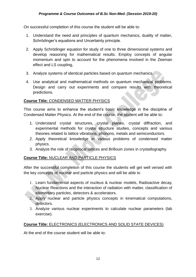On successful completion of this course the student will be able to:

- 1. Understand the need and principles of quantum mechanics, duality of matter, Schrödinger's equations and Uncertainty principle.
- 2. Apply Schrödinger equation for study of one to three dimensional systems and develop reasoning for mathematical results. Employ concepts of angular momentum and spin to account for the phenomena involved in the Zeeman effect and LS coupling,
- 3. Analyze systems of identical particles based on quantum mechanics.
- 4. Use analytical and mathematical methods on quantum mechanical problems. Design and carry out experiments and compare results with theoretical predictions.

#### **Course Title:** CONDENSED MATTER PHYSICS

This course aims to enhance the student's basic knowledge in the discipline of Condensed Matter Physics. At the end of the course, the student will be able to:

- 1. Understand crystal structures, crystal planes, crystal diffraction, and experimental methods for crystal structure studies, concepts and various theories related to lattice vibrations, phonons, metals and semiconductors.
- 2. Apply theoretical knowledge in various problems of condensed matter physics.
- 3. Analyze the role of reciprocal lattices and Brillouin zones in crystallography.

#### **Course Title:** NUCLEAR AND PARTICLE PHYSICS

After the successful completion of this course the students will get well versed with the key concepts of nuclear and particle physics and will be able to

- 1. Learn fundamental aspects of nucleus & nuclear models, Radioactive decay, Nuclear Reactions and the interaction of radiation with matter, classification of elementary particles, detectors & accelerators.
- 2. Apply nuclear and particle physics concepts in kinematical computations, detectors.
- 3. Analyze various nuclear experiments to calculate nuclear parameters (lab exercise).

#### **Course Title:** ELECTRONICS (ELECTRONICS AND SOLID STATE DEVICES)

At the end of the course student will be able to: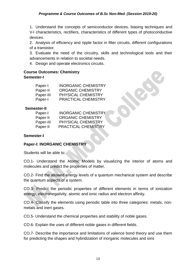1. Understand the concepts of semiconductor devices, biasing techniques and V-I characteristics, rectifiers, characteristics of different types of photoconductive devices.

2. Analysis of efficiency and ripple factor in filter circuits, different configurations of a transistor.

3. Evaluate the need of the circuitry, skills and technological tools and their advancements in relation to societal needs.

4. Design and operate electronics circuits.

#### **Course Outcomes: Chemistry Semester-I**

| Paper-I   | <b>INORGANIC CHEMISTRY</b> |
|-----------|----------------------------|
| Paper-II  | <b>ORGANIC CHEMISTRY</b>   |
| Paper-III | <b>PHYSICAL CHEMISTRY</b>  |
| Paper-I   | <b>PRACTICAL CHEMISTRY</b> |

#### **Semester-II**

| Paper-I   | <b>INORGANIC CHEMISTRY</b> |
|-----------|----------------------------|
| Paper-II  | <b>ORGANIC CHEMISTRY</b>   |
| Paper-III | <b>PHYSICAL CHEMISTRY</b>  |
| Paper-II  | <b>PRACTICAL CHEMISTRY</b> |

#### **Semester-I**

#### **Paper-I: INORGANIC CHEMISTRY**

Students will be able to:

CO.1- Understand the Atomic Models by visualizing the interior of atoms and molecules and predict the properties of matter.

CO.2- Find the allowed energy levels of a quantum mechanical system and describe the quantum aspects of a system.

CO.3- Predict the periodic properties of different elements in terms of ionization energy, electronegativity, atomic and ionic radius and electron affinity.

CO.4- Classify the elements using periodic table into three categories: metals, nonmetals and inert gases.

CO.5- Understand the chemical properties and stability of noble gases.

CO.6- Explain the uses of different noble gases in different fields.

CO.7- Describe the importance and limitations of valence bond theory and use them for predicting the shapes and hybridization of inorganic molecules and ions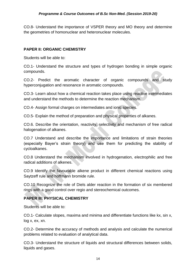CO.8- Understand the importance of VSPER theory and MO theory and determine the geometries of homonuclear and heteronuclear molecules.

#### **PAPER II: ORGANIC CHEMISTRY**

Students will be able to:

CO.1- Understand the structure and types of hydrogen bonding in simple organic compounds.

CO.2- Predict the aromatic character of organic compounds and study hyperconjugation and resonance in aromatic compounds.

CO.3- Learn about how a chemical reaction takes place using reactive intermediates and understand the methods to determine the reaction mechanism.

CO.4- Assign formal charges on intermediates and ionic species.

CO.5- Explain the method of preparation and physical properties of alkanes.

CO.6. Describe the orientation, reactivity, selectivity and mechanism of free radical halogenation of alkanes.

CO.7 Understand and describe the importance and limitations of strain theories (especially Bayer's strain theory) and use them for predicting the stability of cycloalkanes.

CO.8 Understand the mechanism involved in hydrogenation, electrophilic and free radical additions of alkenes.

CO.9 Identify the favourable alkene product in different chemical reactions using Saytzeff rule and hoffmann bromide rule.

CO.10 Recognize the role of Diels alder reaction in the formation of six membered rings with a good control over regio and stereochemical outcomes.

#### **PAPER III: PHYSICAL CHEMISTRY**

Students will be able to:

CO.1- Calculate slopes, maxima and minima and differentiate functions like kx, sin x, log x, ex, xn.

CO.2- Determine the accuracy of methods and analysis and calculate the numerical problems related to evaluation of analytical data.

CO.3- Understand the structure of liquids and structural differences between solids, liquids and gases.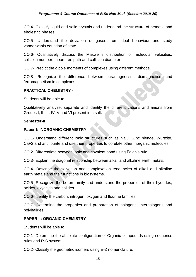CO.4- Classify liquid and solid crystals and understand the structure of nematic and eholestric phases.

CO.5- Understand the deviation of gases from ideal behaviour and study vanderwaals equation of state.

CO.6- Qualitatively discuss the Maxwell's distribution of molecular velocities, collision number, mean free path and collision diameter.

CO.7- Predict the dipole moments of complexes using different methods.

CO.8- Recognize the difference between paramagnetism, diamagnetism and ferromagnetism in complexes.

#### **PRACTICAL CHEMISTRY - I**

Students will be able to:

Qualitatively analyze, separate and identify the different cations and anions from Groups I, II, III, IV, V and VI present in a salt.

#### **Semester-II**

#### **Paper-I: INORGANIC CHEMISTRY**

CO.1- Understand different Ionic structures such as NaCl, Zinc blende, Wurtzite, CaF2 and antiflourite and use their properties to corelate other inorganic molecules.

CO.2- Differentiate between ionic and covalent bond using Fajan's rule.

CO.3- Explain the diagonal relationship between alkali and alkaline earth metals.

CO.4- Describe the solvation and complexation tendencies of alkali and alkaline earth metals and their functions in biosystems.

CO.5- Recognize the boron family and understand the properties of their hydrides, oxides, oxyacids and halides.

CO.6- Identify the carbon, nitrogen, oxygen and flourine families.

CO.7- Determine the properties and preparation of halogens, interhalogens and polyhalides.

#### **PAPER II: ORGANIC CHEMISTRY**

Students will be able to:

CO.1- Determine the absolute configuration of Organic compounds using sequence rules and R-S system

CO.2- Classify the geometric isomers using E-Z nomenclature.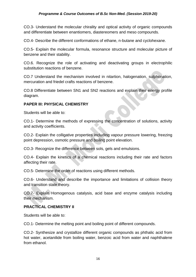#### *Programme & Course Outcomes of B.Sc Non-Med. (Session 2019-20)*

CO.3- Understand the molecular chirality and optical activity of organic compounds and differentiate between enantiomers, diastereomers and meso compounds.

CO.4- Describe the different conformations of ethane, n-butane and cyclohexane.

CO.5- Explain the molecular formula, resonance structure and molecular picture of benzene and their stability.

CO.6. Recognize the role of activating and deactivating groups in electrophilic substitution reactions of benzene.

CO.7 Understand the mechanism involved in nitartion, halogenation, sulphonation, mercuration and friedel crafts reactions of benzene.

CO.8 Differentiate between SN1 and SN2 reactions and explain their energy profile diagram.

#### **PAPER III: PHYSICAL CHEMISTRY**

Students will be able to:

CO.1- Determine the methods of expressing the concentration of solutions, activity and activity coefficients.

CO.2- Explain the colligative properties including vapour pressure lowering, freezing point depression, osmotic pressure and boiling point elevation.

CO.3- Recognize the difference between sols, gels and emulsions.

CO.4- Explain the kinetics of a chemical reactions including their rate and factors affecting their rate.

CO.5- Determine the order of reactions using different methods.

CO.6- Understand and describe the importance and limitations of collision theory and transition state theory.

CO.7- Explain Homogenous catalysis, acid base and enzyme catalysis including their mechanism.

#### **PRACTICAL CHEMISTRY II**

Students will be able to:

CO.1- Determine the melting point and boiling point of different compounds.

CO.2- Synthesize and crystallize different organic compounds as phthalic acid from hot water, acetanilide from boiling water, benzoic acid from water and naphthalene from ethanol.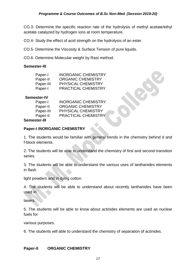CO.3- Determine the specific reaction rate of the hydrolysis of methyl acetate/ethyl acetate catalyzed by hydrogen ions at room temperature.

CO.4- Study the effect of acid strength on the hydrolysis of an ester.

CO.5- Determine the Viscosity & Surface Tension of pure liquids.

CO.6- Determine Molecular weight by Rast method.

#### **Semester-III**

| Paper-I   | <b>INORGANIC CHEMISTRY</b> |
|-----------|----------------------------|
| Paper-II  | <b>ORGANIC CHEMISTRY</b>   |
| Paper-III | <b>PHYSICAL CHEMISTRY</b>  |
| Paper-I   | <b>PRACTICAL CHEMISTRY</b> |

#### **Semester-IV**

| Paper-I   | <b>INORGANIC CHEMISTRY</b> |
|-----------|----------------------------|
| Paper-II  | <b>ORGANIC CHEMISTRY</b>   |
| Paper-III | <b>PHYSICAL CHEMISTRY</b>  |
| Paper-II  | <b>PRACTICAL CHEMISTRY</b> |
|           |                            |

#### **Semester-III**

#### **Paper-I INORGANIC CHEMISTRY**

1. The students would be familiar with general trends in the chemistry behind d and f-block elements.

2. The students will be able to understand the chemistry of first and second transition series.

3. The students will be able to understand the various uses of lanthanides elements in flash

light powders and in dying cotton.

4. The students will be able to understand about recently lanthanides have been used in

lasers.

5. The students will be able to know about actinides elements are used as nuclear fuels for

various purposes.

6. The students will able to understand the chemistry of separation of actinides.

#### **Paper-II ORGANIC CHEMISTRY**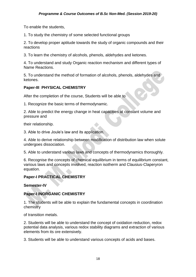To enable the students,

1. To study the chemistry of some selected functional groups

2. To develop proper aptitude towards the study of organic compounds and their reactions

3. To learn the chemistry of alcohols, phenols, aldehydes and ketones.

4. To understand and study Organic reaction mechanism and different types of Name Reactions.

5. To understand the method of formation of alcohols, phenols, aldehydes and ketones.

#### **Paper-III PHYSICAL CHEMISTRY**

After the completion of the course, Students will be able to

1. Recognize the basic terms of thermodynamic.

2. Able to predict the energy change in heat capacities at constant volume and pressure and

their relationship.

3. Able to drive Joule's law and its application.

4. Able to derive relationship between modification of distribution law when solute undergoes dissociation.

5. Able to understand various laws and concepts of thermodynamics thoroughly.

6. Recognise the concepts of chemical equilibrium in terms of equilibrium constant, various laws and concepts involved, reaction isotherm and Clausius-Claperyron equation.

#### **Paper-I PRACTICAL CHEMISTRY**

**Semester-IV**

#### **Paper-I INORGANIC CHEMISTRY**

1. The students will be able to explain the fundamental concepts in coordination chemistry

of transition metals.

2. Students will be able to understand the concept of oxidation reduction, redox potential data analysis, various redox stability diagrams and extraction of various elements from its ore extensively.

3. Students will be able to understand various concepts of acids and bases.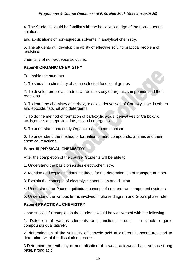4. The Students would be familiar with the basic knowledge of the non-aqueous solutions

and applications of non-aqueous solvents in analytical chemistry.

5. The students will develop the ability of effective solving practical problem of analytical

chemistry of non-aqueous solutions.

#### **Paper-II ORGANIC CHEMISTRY**

To enable the students

1. To study the chemistry of some selected functional groups

2. To develop proper aptitude towards the study of organic compounds and their reactions

3. To learn the chemistry of carboxylic acids, derivatives of Carboxylic acids,ethers and epoxide, fats, oil and detergents.

4. To do the method of formation of carboxylic acids, derivatives of Carboxylic acids,ethers and epoxide, fats, oil and detergents

5. To understand and study Organic reaction mechanism

6. To understand the method of formation of nitro compounds, amines and their chemical reactions.

#### **Paper-III PHYSICAL CHEMISTRY**

After the completion of the course, Students will be able to

1. Understand the basic principles electrochemistry.

2. Mention and explain various methods for the determination of transport number.

3. Explain the concepts of electrolytic conduction and dilution

4. Understand the Phase equilibrium concept of one and two component systems.

5. Understand the various terms involved in phase diagram and Gibb's phase rule.

#### **Paper-I PRACTICAL CHEMISTRY**

Upon successful completion the students would be well versed with the following:

1. Detection of various elements and functional groups in simple organic compounds qualitatively.

2. determination of the solubility of benzoic acid at different temperatures and to determine  $\Delta H$  of the dissolution process.

3.Determine the enthalpy of neutralisation of a weak acid/weak base versus strong base/strong acid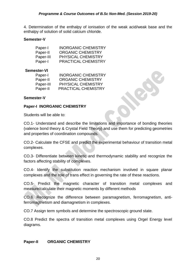4. Determination of the enthalpy of ionisation of the weak acid/weak base and the enthalpy of solution of solid calcium chloride.

#### **Semester-V**

| Paper-I   | <b>INORGANIC CHEMISTRY</b> |
|-----------|----------------------------|
| Paper-II  | <b>ORGANIC CHEMISTRY</b>   |
| Paper-III | <b>PHYSICAL CHEMISTRY</b>  |
| Paper-I   | PRACTICAL CHEMISTRY        |

#### **Semester-VI**

| Paper-I   | <b>INORGANIC CHEMISTRY</b> |
|-----------|----------------------------|
| Paper-II  | <b>ORGANIC CHEMISTRY</b>   |
| Paper-III | <b>PHYSICAL CHEMISTRY</b>  |
| Paper-II  | <b>PRACTICAL CHEMISTRY</b> |

#### **Semester-V**

#### **Paper-I INORGANIC CHEMISTRY**

Students will be able to:

CO.1- Understand and describe the limitations and importance of bonding theories (valence bond theory & Crystal Field Theory) and use them for predicting geometries and properties of coordination compounds.

CO.2- Calculate the CFSE and predict the experimental behaviour of transition metal complexes.

CO.3- Differentiate between kinetic and thermodynamic stability and recognize the factors affecting stability of complexes.

CO.4- Identify the substitution reaction mechanism involved in square planar complexes and the role of trans effect in governing the rate of these reactions.

CO.5- Predict the magnetic character of transition metal complexes and measure/calculate their magnetic moments by different methods

CO.6. Recognize the difference between paramagnetism, ferromagnetism, antiferromagtnetism and diamagnetism in complexes.

CO.7 Assign term symbols and determine the spectroscopic ground state.

CO.8 Predict the spectra of transition metal complexes using Orgel Energy level diagrams.

#### **Paper-II ORGANIC CHEMISTRY**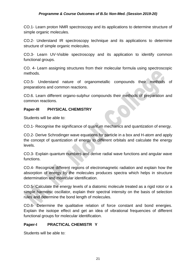CO.1- Learn proton NMR spectroscopy and its applications to determine structure of simple organic molecules.

CO.2- Understand IR spectroscopy technique and its applications to determine structure of simple organic molecules.

CO.3- Learn UV-Visible spectroscopy and its application to identify common functional groups.

CO. 4- Learn assigning structures from their molecular formula using spectroscopic methods.

CO.5- Understand nature of organometallic compounds their methods of preparations and common reactions.

CO.6. Learn different organo-sulphur compounds their methods of preparation and common reactions.

#### **Paper-III PHYSICAL CHEMISTRY**

Students will be able to:

CO.1- Recognise the significance of quantum mechanics and quantization of energy.

CO.2- Derive Schrodinger wave equations for particle in a box and H-atom and apply the concept of quantization of energy to different orbitals and calculate the energy levels.

CO.3- Explain quantum numbers and derive radial wave functions and angular wave functions.

CO.4- Recognize different regions of electromagnetic radiation and explain how the absorption of energy by the molecules produces spectra which helps in structure determination and molecular identification.

CO.5- Calculate the energy levels of a diatomic molecule treated as a rigid rotor or a simple harmonic oscillator, explain their spectral intensity on the basis of selection rules and determine the bond length of molecules.

CO.6- Determine the qualitative relation of force constant and bond energies. Explain the isotope effect and get an idea of vibrational frequencies of different functional groups for molecular identification.

#### **Paper-I PRACTICAL CHEMISTR Y**

Students will be able to: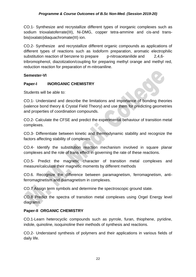CO.1- Synthesize and recrystallize different types of inorganic complexes such as sodium trioxalatoferrate(III), Ni-DMG, copper tetra-ammine and cis-and transbis(oxalato)diaquachromate(III) ion.

CO.2- Synthesize and recrystallize different organic compounds as applications of different types of reactions such as Iodoform preparation, aromatic electrophilic substitution reaction of benzene to prepare p-nitroacetanilide and 2,4,6tribromophenol, diazotization/coupling for preparing methyl orange and methyl red, reduction reaction for preparation of m-nitroaniline.

#### **Semester-VI**

#### **Paper-I INORGANIC CHEMISTRY**

Students will be able to:

CO.1- Understand and describe the limitations and importance of bonding theories (valence bond theory & Crystal Field Theory) and use them for predicting geometries and properties of coordination compounds.

CO.2- Calculate the CFSE and predict the experimental behaviour of transition metal complexes.

CO.3- Differentiate between kinetic and thermodynamic stability and recognize the factors affecting stability of complexes.

CO.4- Identify the substitution reaction mechanism involved in square planar complexes and the role of trans effect in governing the rate of these reactions.

CO.5- Predict the magnetic character of transition metal complexes and measure/calculate their magnetic moments by different methods

CO.6. Recognize the difference between paramagnetism, ferromagnetism, antiferromagtnetism and diamagnetism in complexes.

CO.7 Assign term symbols and determine the spectroscopic ground state.

CO.8 Predict the spectra of transition metal complexes using Orgel Energy level diagrams.

#### **Paper-II ORGANIC CHEMISTRY**

CO.1-Learn heterocyclic compounds such as pyrrole, furan, thiophene, pyridine, indole, quinoline, isoquinoline their methods of synthesis and reactions.

CO.2- Understand synthesis of polymers and their applications in various fields of daily life.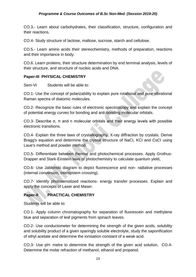CO.3.- Learn about carbohydrates, their classification, structure, configuration and their reactions.

CO.4- Study structure of lactose, maltose, sucrose, starch and cellulose.

CO.5.- Learn amino acids their stereochemistry, methods of preparation, reactions and their importance in body.

CO.6. Learn proteins, their structure determination by end terminal analysis, levels of their structure, and structure of nucleic acids and DNA.

#### **Paper-III PHYSICAL CHEMISTRY**

Sem-VI Students will be able to:

CO.1- Use the concept of polarizability to explain pure rotational and pure vibrational Raman spectra of diatomic molecules.

CO.2- Recognize the basic rules of electronic spectroscopy and explain the concept of potential energy curves for bonding and anti-bonding molecular orbitals.

CO.3- Describe σ, π and n molecular orbitals and their energy levels with possible electronic transitions.

CO.4- Explain the three laws of crystallography, X-ray diffraction by crystals. Derive Bragg's equation and determine the crystal structure of NaCI, KCI and CsCI using Laue's method and powder method.

CO.5- Differentiate between thermal and photochemical processes. Apply Grothus-Drapper and Stark-Einstein laws of photochemistry to calculate quantum yield,

CO.6- Use Jablonski diagram to depict fluorescence and non- radiative processes (internal conversion, intersystem crossing).

CO.7- Identify photosensitized reactions- energy transfer processes. Explain and apply the concepts of Laser and Maser.

#### **Paper-II PRACTICAL CHEMISTRY**

Students will be able to:

CO.1- Apply column chromatography for separation of fluorescein and methylene blue and separation of leaf pigments from spinach leaves.

CO.2- Use conductometer for determining the strength of the given acids, solubility and solubility product of a given sparingly soluble electrolyte, study the saponification of ethyl acetate and determine the ionisation constant of a weak acid.

CO.3- Use pH- metre to determine the strength of the given acid solution, CO.4- Determine the molar refraction of methanol, ethanol and propanol.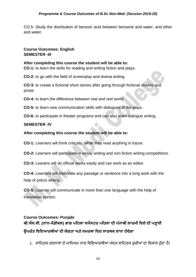CO.5- Study the distribution of benzoic acid between benzene and water, and ether and water.

#### **Course Outcomes: English SEMESTER -III**

#### **After completing this course the student will be able to:**

**CO-1:** to learn the skills for reading and writing fiction and plays.

**CO-2:** to go with the field of screenplay and drama writing.

**CO-3:** to create a fictional short stories after going through fictional studies and prose.

**CO-4:** to learn the difference between real and reel world.

**CO-5:** to learn new communication skills with dialogues of the plays.

**CO-6:** to participate in theater programs and can also learn dialogue writing.

#### **SEMESTER -IV**

#### **After completing this course the student will be able to:**

**CO-1:** Learners will think critically, while they read anything in future.

**CO-2:** Learners will participate in essay writing and non-fiction writing competitions.

**CO-3:** Leaners will do official works easily and can work as an editor.

**CO-4:** Learners will elaborate any passage or sentence into a long work with the help of précis writing.

**CO-5:** Learner will communicate in more than one language with the help of translation portion.

## **Course Outcomes: Punjabi ਬੀ.ਐਸ.ਸੀ. (ਨਾਨ-ਮੈਡੀਕਲ) ਭਾਗ ਪਹਿਲਾ ਸਮੈਸਟਰ ਪਹਿਲਾ ਦੀ ਪੰ ਜਾਬੀ ਲਾਜ਼ਮੀ ਹਿਸ਼ੇਦੀ ਪੜ੍ਹਾਈ ਉਪਰੰ ਤ ਹਿਹਦਆਰਥੀਆਂਦੀ ਯੋਗਤਾ ਅਤੇਸਮਰਥਾ ਹਿਚ ਸਾਰਥਕ ਿਾਧਾ ਿੋਿੇਗਾ**

1. ਸਾਹਿਤਕ ਰਚਨਾਵਾਂ ਦੇ ਮਾਧਿਅਮ ਨਾਲ ਵਿਦਿਆਰਥੀਆਂ ਅੰਦਰ ਸਾਹਿਤਕ ਰਚੀਆਂ ਦਾ ਵਿਕਾਸ ਹੰਦਾ ਹੈ।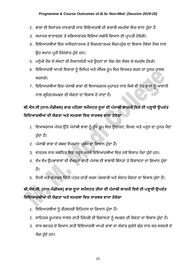- 2. ਭਾਸ਼ਾ ਦੀ ਸਿਧਾਂਤਕ ਜਾਣਕਾਰੀ ਨਾਲ ਵਿਦਿਆਰਥੀ ਦੀ ਭਾਸ਼ਾਈ ਸਮਰੱਥਾ ਵਿਚ ਵਾਧਾ ਹੁੰਦਾ ਹੈ
- 3. ਸਮਾਜਕ ਵਾਤਾਵਰਣ ਤੇ ਸਭਿਆਚਾਰਕ ਵਿਸ਼ਿਆਂ ਸਬੰਧੀ ਗਿਆਨ ਦੀ ਪ੍ਰਾਪਤੀ ਹੋਵੇਗੀ।
- 4. ਵਿਦਿਆਰਥੀਆਂ ਵਿਚ ਆਲੋਚਨਾਤਮਕ ਤੇ ਸਿਰਜਣਾਤਮਕ ਸੋਚ/ਪਹੁੰਚ ਦਾ ਵਿਕਾਸ ਹੋਵੇਗਾ ਜਿਸ ਨਾਲ ਉਹ ਸਮਾਜ ਪ੍ਰਤੀ ਜਿੰਮੇਵਾਰ ਹੁੰਦੇ ਹਨ।
- 5. ਮਨੁੱਖੀ ਹੋਂਦ ਦੇ ਸੰਕਟਾਂ ਦੀ ਨਿਸ਼ਾਨਦੇਹੀ ਅਤੇ ਉਹਨਾਂ ਦਾ ਯੋਗ ਹੱਲ ਲੱਭਣ ਦੇ ਸਮਰੱਥ ਹੋਣਗੇ।
- 6. ਵਿਦਿਆਰਥੀ ਆਪਣੇ ਵਿਚਾਰਾਂ ਨੂੰ ਲਿਖਿਤ ਅਤੇ ਮੌਖਿਕ ਰੂਪ ਵਿਚ ਵਿਅਕਤ ਕਰਨ ਦਾ ਹੁਨਰ ਹਾਸਲ ਕਰਨਗੇ।
- 7. ਵਿਦਿਆਰਥੀਆਂ ਵਿਚ ਪੰਜਾਬੀ ਭਾਸ਼ਾ ਦੀ ਵਿਆਕਰਨਕ ਮੁਹਾਰਤ ਨਾਲ ਕਿਸੇ ਵੀ ਹੋਰ ਭਾਸ਼ਾ ਨੂੰ ਆਸਾਨੀ ਨਾਲ ਗਹਿਣ/ਸਮਝਣ ਦੀ ਯੋਗਤਾ ਦਾ ਵਿਕਾਸ ਹੋ ਜਾਂਦਾ ਹੈ।

## **ਬੀ.ਐਸ.ਸੀ (ਨਾਨ-ਮੈਡੀਕਲ) ਭਾਗ ਪਹਿਲਾ ਸਮੈਸਟਰ ਦੂਜਾ ਦੀ ਪੰ ਜਾਬੀ ਲਾਜ਼ਮੀ ਹਿਸ਼ੇਦੀ ਪੜ੍ਹਾਈ ਉਪਰੰ ਤ ਹਿਹਦਆਰਥੀਆਂਦੀ ਯੋਗਤਾ ਅਤੇਸਮਰਥਾ ਹਿਚ ਸਾਰਥਕ ਿਾਧਾ ਿੋਿੇਗਾ**

- 1. ਵਿਆਕਰਨਕ ਪੱਧਰ ਉੱਤੇ ਪੰਜਾਬੀ ਭਾਸ਼ਾ ਨੂੰ ਸ਼ੁੱਧ ਰੂਪ ਵਿਚ ਉਚਾਰਨ, ਲਿਖਣ ਅਤੇ ਪੜ੍ਹਨ ਦਾ ਹੁਨਰ ਪੈਦਾ ਹੰਦਾ ਹੈ।
- 2. ਪੰਜਾਬੀ ਭਾਸ਼ਾ ਦੇ ਸ਼ਬਦ ਨਿਰਮਾਣ ਪ੍ਰਬੰਧ ਦਾ ਗਿਆਨ ਹੁੰਦਾ ਹੈ।
- 3. ਵਾਰਤਕ ਨਾਲ ਸਬੰਧਿਤ ਵਿਸ਼ੇ ਪੜ੍ਹਨ ਕਰਕੇ ਵਿਦਿਆਰਥੀਆਂ ਵਿਚ ਨਵੇਂ ਵਿਚਾਰ ਪੈਦਾ ਹੁੰਦੇ ਹਨ।
- 4. ਵੱਖ ਵੱਖ ਉਪਭਾਸ਼ਾਵਾਂ ਦੀ ਵੱਖਰਤਾ ਰਾਹੀਂ ਪੰਜਾਬ ਦੀ ਭਾਸ਼ਾਈ ਭਿੰਨਤਾ ਤੇ ਵਿਸ਼ਾਲਤਾ ਦਾ ਗਿਆਨ ਹੁੰਦਾ ਿੈ।
- 5. ਨਿਜੀ ਅਤੇ ਵਪਾਰਕ ਚਿੱਠੀ-ਪੱਤਰ ਰਾਹੀਂ ਸਰਲ ਪੇਸ਼ਕਾਰੀ ਅਤੇ ਸੰਚਾਰ ਯੋਗਤਾ ਦਾ ਵਿਕਾਸ ਹੁੰਦਾ ਹੈ।

## **ਬੀ.ਐਸ.ਸੀ. (ਨਾਨ-ਮੈਡੀਕਲ) ਭਾਗ ਦੂਜਾ ਸਮੈਸਟਰ ਤੀਜਾ ਦੀ ਪੰ ਜਾਬੀ ਲਾਜ਼ਮੀ ਹਿਸ਼ੇਦੀ ਪੜ੍ਹਾਈ ਉਪਰੰ ਤ ਹਿਹਦਆਰਥੀਆਂਦੀ ਯੋਗਤਾ ਅਤੇਸਮਰਥਾ ਹਿਚ ਸਾਰਥਕ ਿਾਧਾ ਿੋਿੇਗਾ**

- 1. ਵਿਦਿਆਰਥੀਆਂ ਨੂੰ ਗੌਰਵਮਈ ਇਤਿਹਾਸ ਦਾ ਗਿਆਨ ਹੁੰਦਾ ਹੈ।
- 2. ਸਾਹਿਤਕ ਰੂਪਾਕਾਰ ਨਾਵਲ ਰਾਹੀਂ ਜ਼ਿੰਦਗੀ ਦੀ ਵਿਸ਼ਾਲਤਾ ਨੂੰ ਸਮਝਣ ਦੀ ਯੋਗਤਾ ਦਾ ਵਿਕਾਸ ਹੁੰਦਾ ਹੈ।
- 3. ਵਾਕ ਬਣਤਰ ਦੇ ਗਿਆਨ ਰਾਹੀਂ ਵਿਦਿਆਰਥੀ ਆਪਣੇ ਭਾਵਾਂ ਦਾ ਸੰਚਾਰ ਸੁਚੱਜੇ ਢੰਗ ਨਾਲ ਕਰ ਸਕਣਗੇ ਦੇ ਯੋਗ ਹੰਦੇ ਹਨ।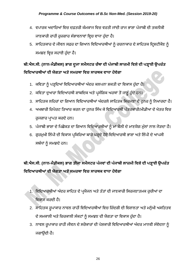- 4. ਵਪਾਰਕ ਅਦਾਰਿਆਂ ਵਿਚ ਦਫ਼ਤਰੀ ਕੰਮਕਾਜ ਵਿਚ ਵਰਤੀ ਜਾਂਦੀ ਰਾਜ ਭਾਸ਼ਾ ਪੰਜਾਬੀ ਦੀ ਤਕਨੀਕੀ ਜਾਣਕਾਰੀ ਰਾਹੀਂ ਰੁਜ਼ਗਾਰ ਸੰਭਾਵਨਾਵਾਂ ਵਿਚ ਵਾਧਾ ਹੁੰਦਾ ਹੈ।
- 5. ਸਾਹਿਤਕਾਰ ਦੇ ਜੀਵਨ ਸਫ਼ਰ ਦਾ ਗਿਆਨ ਵਿਦਿਆਰਥੀਆਂ ਨੂੰ ਰਚਨਾਕਾਰ ਦੇ ਸਾਹਿਤਕ ਦ੍ਰਿਸ਼ਟੀਕੋਣ ਨੂੰ ਸਮਝਣ ਵਿਚ ਸਹਾਈ ਹੰਦਾ ਹੈ।

## **ਬੀ.ਐਸ.ਸੀ. (ਨਾਨ-ਮੈਡੀਕਲ) ਭਾਗ ਦੂਜਾ ਸਮੈਸਟਰ ਚੌਥਾ ਦੀ ਪੰ ਜਾਬੀ ਲਾਜ਼ਮੀ ਹਿਸ਼ੇਦੀ ਪੜ੍ਹਾਈ ਉਪਰੰ ਤ ਹਿਹਦਆਰਥੀਆਂਦੀ ਯੋਗਤਾ ਅਤੇਸਮਰਥਾ ਹਿਚ ਸਾਰਥਕ ਿਾਧਾ ਿੋਿੇਗਾ**

- 1. ਕਵਿਤਾ ਨੂੰ ਪੜ੍ਹਦਿਆਂ ਵਿਦਿਆਰਥੀਆਂ ਅੰਦਰ ਕਲਪਨਾ ਸ਼ਕਤੀ ਦਾ ਵਿਕਾਸ ਹੁੰਦਾ ਹੈ।
- 2. ਕਵਿਤਾ ਦੁਆਰਾ ਵਿਦਿਆਰਥੀ ਸ਼ਾਬਦਿਕ ਅਤੇ ਪ੍ਰਸੰਗਿਕ ਅਰਥਾਂ ਤੋਂ ਜਾਣੂੰ ਹੁੰਦੇ ਹਨ।
- 3. ਸਾਹਿਤਕ ਲਹਿਰਾਂ ਦਾ ਗਿਆਨ ਵਿਦਿਆਰਥੀਆਂ ਅੰਦਰਲੇ ਸਾਹਿਤਕ ਸਿਰਜਣਾ ਦੇ ਹੁਨਰ ਨੂੰ ਨਿਖਾਰਦਾ ਹੈ।
- 4. ਅਖਬਾਰੀ ਰਿਪੋਰਟ ਤਿਆਰ ਕਰਨ ਦਾ ਹੁਨਰ ਸਿੱਖ ਕੇ ਵਿਦਿਆਰਥੀ ਪੱਤਰਕਾਰੀ/ਮੀਡੀਆ ਦੇ ਖੇਤਰ ਵਿਚ ਰੁਜਗਾਰ ਪਾਪਤ ਕਰਦੇ ਹਨ।
- 5. ਪੰਜਾਬੀ ਭਾਸ਼ਾ ਦੇ ਪਿਛੋਕੜ ਦਾ ਗਿਆਨ ਵਿਦਿਆਰਥੀਆਂ ਨੂੰ ਮਾਂ ਬੋਲੀ ਦੇ ਮਾਣਯੋਗ ਮੁੱਲਾਂ ਨਾਲ ਜੋੜਦਾ ਹੈ।
- 6. ਗੁਰਮੁਖੀ ਲਿੱਪੀ ਦੀ ਵਿਕਾਸ ਪ੍ਰਕਿਰਿਆ ਬਾਰੇ ਪੜ੍ਹਦੇ ਹੋਏ ਵਿਦਿਆਰਥੀ ਭਾਸ਼ਾ ਅਤੇ ਲਿੱਪੀ ਦੇ ਆਪਸੀ ਸਬੰਧਾਂ ਨੂੰ ਸਮਝਦੇ ਹਨ।

## ਬੀ.ਐਸ.ਸੀ. (ਨਾਨ-ਮੈਡੀਕਲ) ਭਾਗ ਤੀਜਾ ਸਮੈਸਟਰ ਪੰਜਵਾਂ ਦੀ ਪੰਜਾਬੀ ਲਾਜ਼ਮੀ ਵਿਸ਼ੇ ਦੀ ਪੜ੍ਹਾਈ ਉਪਰੰਤ **ਹਿਹਦਆਰਥੀਆਂਦੀ ਯੋਗਤਾ ਅਤੇਸਮਰਥਾ ਹਿਚ ਸਾਰਥਕ ਿਾਧਾ ਿੋਿੇਗਾ**

- 1. ਵਿਦਿਆਰਥੀਆਂ ਅੰਦਰ ਸਾਹਿਤ ਦੇ ਪ੍ਰਯੋਜਨ ਅਤੇ ਤੱਤਾਂ ਦੀ ਜਾਣਕਾਰੀ ਸਿਰਜਣਾਤਮਕ ਰੁਚੀਆਂ ਦਾ ਵਿਕਾਸ ਕਰਦੀ ਹੈ।
- 2. ਸਾਹਿਤਕ ਰੂਪਾਕਾਰ ਨਾਵਲ ਰਾਹੀਂ ਵਿਦਿਆਰਥੀਆਂ ਵਿਚ ਜ਼ਿੰਦਗੀ ਦੀ ਵਿਸ਼ਾਲਤਾ ਅਤੇ ਮਨੁੱਖੀ ਅਸਤਿਤਵ ਦੇ ਸਮਕਾਲੀ ਅਤੇ ਚਿਰਕਾਲੀ ਸੰਕਟਾਂ ਨੂੰ ਸਮਝਣ ਦੀ ਯੋਗਤਾ ਦਾ ਵਿਕਾਸ ਹੁੰਦਾ ਹੈ।
- 3. ਨਾਵਲ ਰੁਪਾਕਾਰ ਰਾਹੀਂ ਜੀਵਨ ਦੇ ਸਰੋਕਾਰਾਂ ਦੀ ਪੇਸ਼ਕਾਰੀ ਵਿਦਿਆਰਥੀਆਂ ਅੰਦਰ ਮਾਨਵੀ ਸੰਵੇਦਨਾ ਨੂੰ ਜਿਾਉਂਦੀ ਿੈ।